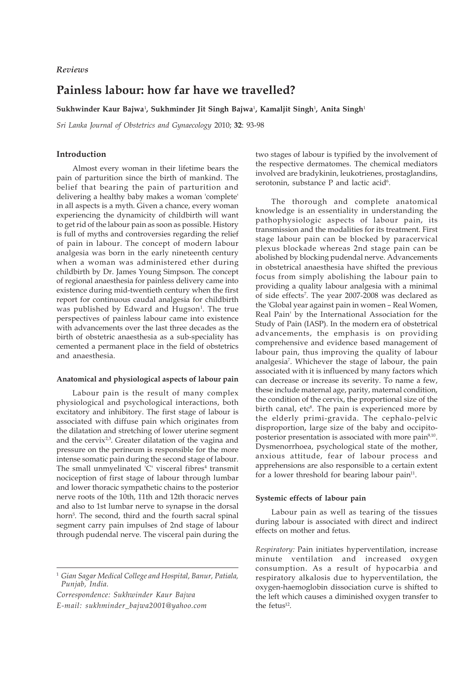# *Reviews*

# **Painless labour: how far have we travelled?**

**Sukhwinder Kaur Bajwa**<sup>1</sup> **, Sukhminder Jit Singh Bajwa**<sup>1</sup> **, Kamaljit Singh**<sup>1</sup> **, Anita Singh**<sup>1</sup>

*Sri Lanka Journal of Obstetrics and Gynaecology* 2010; **32**: 93-98

### **Introduction**

Almost every woman in their lifetime bears the pain of parturition since the birth of mankind. The belief that bearing the pain of parturition and delivering a healthy baby makes a woman 'complete' in all aspects is a myth. Given a chance, every woman experiencing the dynamicity of childbirth will want to get rid of the labour pain as soon as possible. History is full of myths and controversies regarding the relief of pain in labour. The concept of modern labour analgesia was born in the early nineteenth century when a woman was administered ether during childbirth by Dr. James Young Simpson. The concept of regional anaesthesia for painless delivery came into existence during mid-twentieth century when the first report for continuous caudal analgesia for childbirth was published by Edward and Hugson<sup>1</sup>. The true perspectives of painless labour came into existence with advancements over the last three decades as the birth of obstetric anaesthesia as a sub-speciality has cemented a permanent place in the field of obstetrics and anaesthesia.

#### **Anatomical and physiological aspects of labour pain**

Labour pain is the result of many complex physiological and psychological interactions, both excitatory and inhibitory. The first stage of labour is associated with diffuse pain which originates from the dilatation and stretching of lower uterine segment and the cervix $2,3$ . Greater dilatation of the vagina and pressure on the perineum is responsible for the more intense somatic pain during the second stage of labour. The small unmyelinated 'C' visceral fibres<sup>4</sup> transmit nociception of first stage of labour through lumbar and lower thoracic sympathetic chains to the posterior nerve roots of the 10th, 11th and 12th thoracic nerves and also to 1st lumbar nerve to synapse in the dorsal horn<sup>5</sup>. The second, third and the fourth sacral spinal segment carry pain impulses of 2nd stage of labour through pudendal nerve. The visceral pain during the

*Correspondence: Sukhwinder Kaur Bajwa E-mail: sukhminder\_bajwa2001@yahoo.com* two stages of labour is typified by the involvement of the respective dermatomes. The chemical mediators involved are bradykinin, leukotrienes, prostaglandins, serotonin, substance P and lactic acid<sup>6</sup>.

The thorough and complete anatomical knowledge is an essentiality in understanding the pathophysiologic aspects of labour pain, its transmission and the modalities for its treatment. First stage labour pain can be blocked by paracervical plexus blockade whereas 2nd stage pain can be abolished by blocking pudendal nerve. Advancements in obstetrical anaesthesia have shifted the previous focus from simply abolishing the labour pain to providing a quality labour analgesia with a minimal of side effects7 . The year 2007-2008 was declared as the 'Global year against pain in women – Real Women, Real Pain' by the International Association for the Study of Pain (IASP). In the modern era of obstetrical advancements, the emphasis is on providing comprehensive and evidence based management of labour pain, thus improving the quality of labour analgesia7 . Whichever the stage of labour, the pain associated with it is influenced by many factors which can decrease or increase its severity. To name a few, these include maternal age, parity, maternal condition, the condition of the cervix, the proportional size of the birth canal, etc<sup>8</sup>. The pain is experienced more by the elderly primi-gravida. The cephalo-pelvic disproportion, large size of the baby and occipitoposterior presentation is associated with more pain<sup>9,10</sup>. Dysmenorrhoea, psychological state of the mother, anxious attitude, fear of labour process and apprehensions are also responsible to a certain extent for a lower threshold for bearing labour pain $11$ .

#### **Systemic effects of labour pain**

Labour pain as well as tearing of the tissues during labour is associated with direct and indirect effects on mother and fetus.

*Respiratory:* Pain initiates hyperventilation, increase minute ventilation and increased oxygen consumption. As a result of hypocarbia and respiratory alkalosis due to hyperventilation, the oxygen-haemoglobin dissociation curve is shifted to the left which causes a diminished oxygen transfer to the fetus<sup>12</sup>.

<sup>1</sup> *Gian Sagar Medical College and Hospital, Banur, Patiala, Punjab, India.*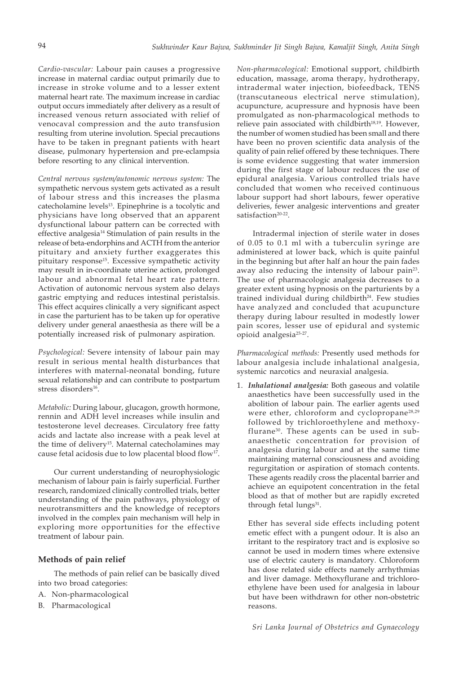*Cardio-vascular:* Labour pain causes a progressive increase in maternal cardiac output primarily due to increase in stroke volume and to a lesser extent maternal heart rate. The maximum increase in cardiac output occurs immediately after delivery as a result of increased venous return associated with relief of venocaval compression and the auto transfusion resulting from uterine involution. Special precautions have to be taken in pregnant patients with heart disease, pulmonary hypertension and pre-eclampsia before resorting to any clinical intervention.

*Central nervous system/autonomic nervous system:* The sympathetic nervous system gets activated as a result of labour stress and this increases the plasma catecholamine levels<sup>13</sup>. Epinephrine is a tocolytic and physicians have long observed that an apparent dysfunctional labour pattern can be corrected with effective analgesia14 Stimulation of pain results in the release of beta-endorphins and ACTH from the anterior pituitary and anxiety further exaggerates this pituitary response15. Excessive sympathetic activity may result in in-coordinate uterine action, prolonged labour and abnormal fetal heart rate pattern. Activation of autonomic nervous system also delays gastric emptying and reduces intestinal peristalsis. This effect acquires clinically a very significant aspect in case the parturient has to be taken up for operative delivery under general anaesthesia as there will be a potentially increased risk of pulmonary aspiration.

*Psychological:* Severe intensity of labour pain may result in serious mental health disturbances that interferes with maternal-neonatal bonding, future sexual relationship and can contribute to postpartum stress disorders<sup>16</sup>.

*Metabolic:* During labour, glucagon, growth hormone, rennin and ADH level increases while insulin and testosterone level decreases. Circulatory free fatty acids and lactate also increase with a peak level at the time of delivery<sup>15</sup>. Maternal catecholamines may cause fetal acidosis due to low placental blood flow17.

Our current understanding of neurophysiologic mechanism of labour pain is fairly superficial. Further research, randomized clinically controlled trials, better understanding of the pain pathways, physiology of neurotransmitters and the knowledge of receptors involved in the complex pain mechanism will help in exploring more opportunities for the effective treatment of labour pain.

## **Methods of pain relief**

The methods of pain relief can be basically dived into two broad categories:

- A. Non-pharmacological
- B. Pharmacological

*Non-pharmacological:* Emotional support, childbirth education, massage, aroma therapy, hydrotherapy, intradermal water injection, biofeedback, TENS (transcutaneous electrical nerve stimulation), acupuncture, acupressure and hypnosis have been promulgated as non-pharmacological methods to relieve pain associated with childbirth<sup>18,19</sup>. However, the number of women studied has been small and there have been no proven scientific data analysis of the quality of pain relief offered by these techniques. There is some evidence suggesting that water immersion during the first stage of labour reduces the use of epidural analgesia. Various controlled trials have concluded that women who received continuous labour support had short labours, fewer operative deliveries, fewer analgesic interventions and greater satisfaction<sup>20-22</sup>.

Intradermal injection of sterile water in doses of 0.05 to 0.1 ml with a tuberculin syringe are administered at lower back, which is quite painful in the beginning but after half an hour the pain fades away also reducing the intensity of labour pain<sup>23</sup>. The use of pharmacologic analgesia decreases to a greater extent using hypnosis on the parturients by a trained individual during childbirth $24$ . Few studies have analyzed and concluded that acupuncture therapy during labour resulted in modestly lower pain scores, lesser use of epidural and systemic opioid analgesia25-27.

*Pharmacological methods:* Presently used methods for labour analgesia include inhalational analgesia, systemic narcotics and neuraxial analgesia.

1. *Inhalational analgesia:* Both gaseous and volatile anaesthetics have been successfully used in the abolition of labour pain. The earlier agents used were ether, chloroform and cyclopropane<sup>28,29</sup> followed by trichloroethylene and methoxyflurane30. These agents can be used in subanaesthetic concentration for provision of analgesia during labour and at the same time maintaining maternal consciousness and avoiding regurgitation or aspiration of stomach contents. These agents readily cross the placental barrier and achieve an equipotent concentration in the fetal blood as that of mother but are rapidly excreted through fetal lungs<sup>31</sup>.

Ether has several side effects including potent emetic effect with a pungent odour. It is also an irritant to the respiratory tract and is explosive so cannot be used in modern times where extensive use of electric cautery is mandatory. Chloroform has dose related side effects namely arrhythmias and liver damage. Methoxyflurane and trichloroethylene have been used for analgesia in labour but have been withdrawn for other non-obstetric reasons.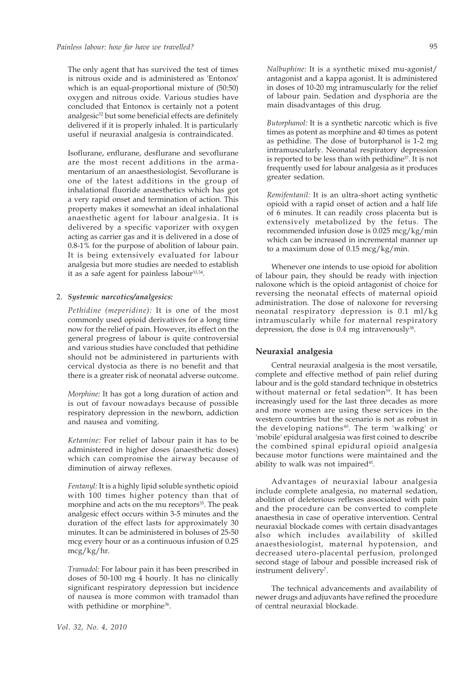The only agent that has survived the test of times is nitrous oxide and is administered as 'Entonox' which is an equal-proportional mixture of (50:50) oxygen and nitrous oxide. Various studies have concluded that Entonox is certainly not a potent analgesic<sup>32</sup> but some beneficial effects are definitely delivered if it is properly inhaled. It is particularly useful if neuraxial analgesia is contraindicated.

Isoflurane, enflurane, desflurane and sevoflurane are the most recent additions in the armamentarium of an anaesthesiologist. Sevoflurane is one of the latest additions in the group of inhalational fluoride anaesthetics which has got a very rapid onset and termination of action. This property makes it somewhat an ideal inhalational anaesthetic agent for labour analgesia. It is delivered by a specific vaporizer with oxygen acting as carrier gas and it is delivered in a dose of 0.8-1% for the purpose of abolition of labour pain. It is being extensively evaluated for labour analgesia but more studies are needed to establish it as a safe agent for painless labour  $33,34$ .

### 2. *Systemic narcotics/analgesics:*

*Pethidine (meperidine):* It is one of the most commonly used opioid derivatives for a long time now for the relief of pain. However, its effect on the general progress of labour is quite controversial and various studies have concluded that pethidine should not be administered in parturients with cervical dystocia as there is no benefit and that there is a greater risk of neonatal adverse outcome.

*Morphine:* It has got a long duration of action and is out of favour nowadays because of possible respiratory depression in the newborn, addiction and nausea and vomiting.

*Ketamine:* For relief of labour pain it has to be administered in higher doses (anaesthetic doses) which can compromise the airway because of diminution of airway reflexes.

*Fentanyl:* It is a highly lipid soluble synthetic opioid with 100 times higher potency than that of morphine and acts on the mu receptors<sup>35</sup>. The peak analgesic effect occurs within 3-5 minutes and the duration of the effect lasts for approximately 30 minutes. It can be administered in boluses of 25-50 mcg every hour or as a continuous infusion of 0.25 mcg/kg/hr.

*Tramadol:* For labour pain it has been prescribed in doses of 50-100 mg 4 hourly. It has no clinically significant respiratory depression but incidence of nausea is more common with tramadol than with pethidine or morphine<sup>36</sup>.

*Nalbuphine:* It is a synthetic mixed mu-agonist/ antagonist and a kappa agonist. It is administered in doses of 10-20 mg intramuscularly for the relief of labour pain. Sedation and dysphoria are the main disadvantages of this drug.

*Butorphanol:* It is a synthetic narcotic which is five times as potent as morphine and 40 times as potent as pethidine. The dose of butorphanol is 1-2 mg intramuscularly. Neonatal respiratory depression is reported to be less than with pethidine<sup>37</sup>. It is not frequently used for labour analgesia as it produces greater sedation.

*Remifentanil:* It is an ultra-short acting synthetic opioid with a rapid onset of action and a half life of 6 minutes. It can readily cross placenta but is extensively metabolized by the fetus. The recommended infusion dose is 0.025 mcg/kg/min which can be increased in incremental manner up to a maximum dose of 0.15 mcg/kg/min.

Whenever one intends to use opioid for abolition of labour pain, they should be ready with injection naloxone which is the opioid antagonist of choice for reversing the neonatal effects of maternal opioid administration. The dose of naloxone for reversing neonatal respiratory depression is 0.1 ml/kg intramuscularly while for maternal respiratory depression, the dose is 0.4 mg intravenously<sup>38</sup>.

#### **Neuraxial analgesia**

Central neuraxial analgesia is the most versatile, complete and effective method of pain relief during labour and is the gold standard technique in obstetrics without maternal or fetal sedation<sup>39</sup>. It has been increasingly used for the last three decades as more and more women are using these services in the western countries but the scenario is not as robust in the developing nations<sup>40</sup>. The term 'walking' or 'mobile' epidural analgesia was first coined to describe the combined spinal epidural opioid analgesia because motor functions were maintained and the ability to walk was not impaired<sup>41</sup>.

Advantages of neuraxial labour analgesia include complete analgesia, no maternal sedation, abolition of deleterious reflexes associated with pain and the procedure can be converted to complete anaesthesia in case of operative intervention. Central neuraxial blockade comes with certain disadvantages also which includes availability of skilled anaesthesiologist, maternal hypotension, and decreased utero-placental perfusion, prolonged second stage of labour and possible increased risk of instrument delivery<sup>7</sup>.

The technical advancements and availability of newer drugs and adjuvants have refined the procedure of central neuraxial blockade.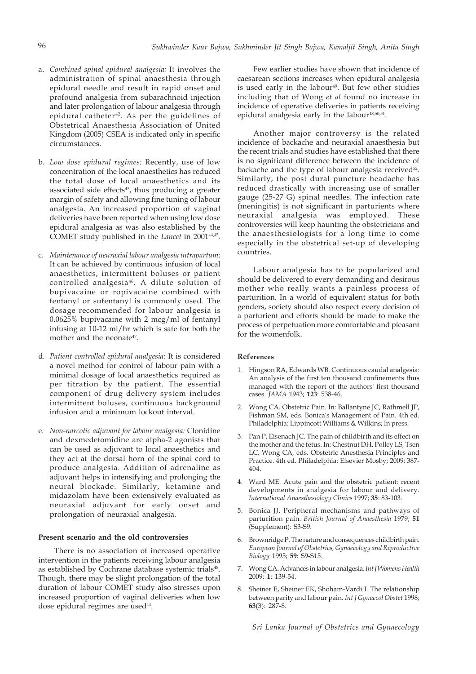- a. *Combined spinal epidural analgesia:* It involves the administration of spinal anaesthesia through epidural needle and result in rapid onset and profound analgesia from subarachnoid injection and later prolongation of labour analgesia through epidural catheter<sup>42</sup>. As per the guidelines of Obstetrical Anaesthesia Association of United Kingdom (2005) CSEA is indicated only in specific circumstances.
- b. *Low dose epidural regimes:* Recently, use of low concentration of the local anaesthetics has reduced the total dose of local anaesthetics and its associated side effects<sup>43</sup>, thus producing a greater margin of safety and allowing fine tuning of labour analgesia. An increased proportion of vaginal deliveries have been reported when using low dose epidural analgesia as was also established by the COMET study published in the *Lancet* in 2001<sup>44,45</sup>.
- c. *Maintenance of neuraxial labour analgesia intrapartum:* It can be achieved by continuous infusion of local anaesthetics, intermittent boluses or patient controlled analgesia46. A dilute solution of bupivacaine or ropivacaine combined with fentanyl or sufentanyl is commonly used. The dosage recommended for labour analgesia is 0.0625% bupivacaine with 2 mcg/ml of fentanyl infusing at 10-12 ml/hr which is safe for both the mother and the neonate<sup>47</sup>.
- d. *Patient controlled epidural analgesia:* It is considered a novel method for control of labour pain with a minimal dosage of local anaesthetics required as per titration by the patient. The essential component of drug delivery system includes intermittent boluses, continuous background infusion and a minimum lockout interval.
- e. *Non-narcotic adjuvant for labour analgesia:* Clonidine and dexmedetomidine are alpha-2 agonists that can be used as adjuvant to local anaesthetics and they act at the dorsal horn of the spinal cord to produce analgesia. Addition of adrenaline as adjuvant helps in intensifying and prolonging the neural blockade. Similarly, ketamine and midazolam have been extensively evaluated as neuraxial adjuvant for early onset and prolongation of neuraxial analgesia.

### **Present scenario and the old controversies**

There is no association of increased operative intervention in the patients receiving labour analgesia as established by Cochrane database systemic trials<sup>48</sup>. Though, there may be slight prolongation of the total duration of labour COMET study also stresses upon increased proportion of vaginal deliveries when low dose epidural regimes are used<sup>44</sup>.

Few earlier studies have shown that incidence of caesarean sections increases when epidural analgesia is used early in the labour<sup>49</sup>. But few other studies including that of Wong *et al* found no increase in incidence of operative deliveries in patients receiving epidural analgesia early in the labour<sup>48,50,51</sup>.

Another major controversy is the related incidence of backache and neuraxial anaesthesia but the recent trials and studies have established that there is no significant difference between the incidence of backache and the type of labour analgesia received<sup>52</sup>. Similarly, the post dural puncture headache has reduced drastically with increasing use of smaller gauge (25-27 G) spinal needles. The infection rate (meningitis) is not significant in parturients where neuraxial analgesia was employed. These controversies will keep haunting the obstetricians and the anaesthesiologists for a long time to come especially in the obstetrical set-up of developing countries.

Labour analgesia has to be popularized and should be delivered to every demanding and desirous mother who really wants a painless process of parturition. In a world of equivalent status for both genders, society should also respect every decision of a parturient and efforts should be made to make the process of perpetuation more comfortable and pleasant for the womenfolk.

### **References**

- 1. Hingson RA, Edwards WB. Continuous caudal analgesia: An analysis of the first ten thousand confinements thus managed with the report of the authors' first thousand cases. *JAMA* 1943; **123**: 538-46.
- 2. Wong CA. Obstetric Pain. In: Ballantyne JC, Rathmell JP, Fishman SM, eds. Bonica's Management of Pain. 4th ed. Philadelphia: Lippincott Williams & Wilkins; In press.
- 3. Pan P, Eisenach JC. The pain of childbirth and its effect on the mother and the fetus. In: Chestnut DH, Polley LS, Tsen LC, Wong CA, eds. Obstetric Anesthesia Principles and Practice. 4th ed. Philadelphia: Elsevier Mosby; 2009: 387- 404.
- 4. Ward ME. Acute pain and the obstetric patient: recent developments in analgesia for labour and delivery. *International Anaesthesiology Clinics* 1997; **35**: 83-103.
- 5. Bonica JJ. Peripheral mechanisms and pathways of parturition pain. *British Journal of Anaesthesia* 1979; **51** (Supplement): S3-S9.
- 6. Brownridge P. The nature and consequences childbirth pain. *European Journal of Obstetrics, Gynaecology and Reproductive Biology* 1995; **59**: S9-S15.
- 7. Wong CA. Advances in labour analgesia. *Int J Womens Health* 2009; **1**: 139-54.
- 8. Sheiner E, Sheiner EK, Shoham-Vardi I. The relationship between parity and labour pain. *Int J Gynaecol Obstet* 1998; **63**(3): 287-8.

*Sri Lanka Journal of Obstetrics and Gynaecology*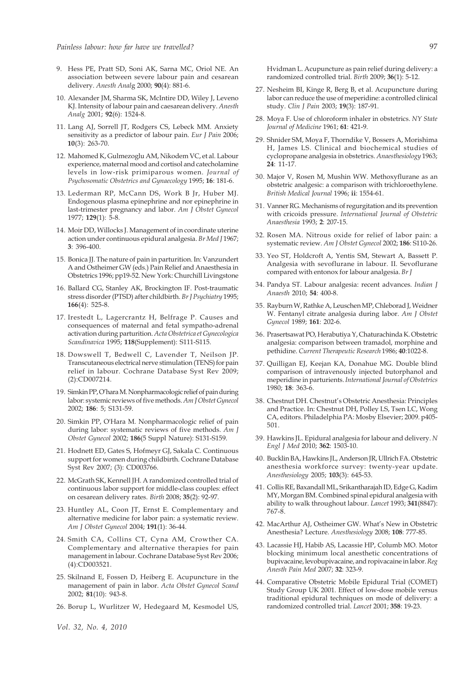- 9. Hess PE, Pratt SD, Soni AK, Sarna MC, Oriol NE. An association between severe labour pain and cesarean delivery. *Anesth Anal*g 2000; **90**(4): 881-6.
- 10. Alexander JM, Sharma SK, McIntire DD, Wiley J, Leveno KJ. Intensity of labour pain and caesarean delivery. *Anesth Analg* 2001; **92**(6): 1524-8.
- 11. Lang AJ, Sorrell JT, Rodgers CS, Lebeck MM. Anxiety sensitivity as a predictor of labour pain. *Eur J Pain* 2006; **10**(3): 263-70.
- 12. Mahomed K, Gulmezoglu AM, Nikodem VC, et al. Labour experience, maternal mood and cortisol and catecholamine levels in low-risk primiparous women. *Journal of Psychosomatic Obstetrics and Gynaecology* 1995; **16**: 181-6.
- 13. Lederman RP, McCann DS, Work B Jr, Huber MJ. Endogenous plasma epinephrine and nor epinephrine in last-trimester pregnancy and labor. *Am J Obstet Gynecol* 1977; **129**(1): 5-8.
- 14. Moir DD, Willocks J. Management of in coordinate uterine action under continuous epidural analgesia. *Br Med J* 1967; **3**: 396-400.
- 15. Bonica JJ. The nature of pain in parturition. In: Vanzundert A and Ostheimer GW (eds.) Pain Relief and Anaesthesia in Obstetrics 1996; pp19-52. New York: Churchill Livingstone
- 16. Ballard CG, Stanley AK, Brockington IF. Post-traumatic stress disorder (PTSD) after childbirth. *Br J Psychiatry* 1995; **166**(4): 525-8.
- 17. Irestedt L, Lagercrantz H, Belfrage P. Causes and consequences of maternal and fetal sympatho-adrenal activation during parturition. *Acta Obstetrica et Gynecologica Scandinavica* 1995; **118**(Supplement): S111-S115.
- 18. Dowswell T, Bedwell C, Lavender T, Neilson JP. Transcutaneous electrical nerve stimulation (TENS) for pain relief in labour. Cochrane Database Syst Rev 2009; (2):CD007214.
- 19. Simkin PP, O'hara M. Nonpharmacologic relief of pain during labor: systemic reviews of five methods. *Am J Obstet Gynecol* 2002; **186**: 5; S131-59.
- 20. Simkin PP, O'Hara M. Nonpharmacologic relief of pain during labor: systematic reviews of five methods. *Am J Obstet Gynecol* 2002; **186**(5 Suppl Nature): S131-S159.
- 21. Hodnett ED, Gates S, Hofmeyr GJ, Sakala C. Continuous support for women during childbirth. Cochrane Database Syst Rev 2007; (3): CD003766.
- 22. McGrath SK, Kennell JH. A randomized controlled trial of continuous labor support for middle-class couples: effect on cesarean delivery rates. *Birth* 2008; **35**(2): 92-97.
- 23. Huntley AL, Coon JT, Ernst E. Complementary and alternative medicine for labor pain: a systematic review. *Am J Obstet Gynecol* 2004; **191**(1): 36-44.
- 24. Smith CA, Collins CT, Cyna AM, Crowther CA. Complementary and alternative therapies for pain management in labour. Cochrane Database Syst Rev 2006; (4):CD003521.
- 25. Skilnand E, Fossen D, Heiberg E. Acupuncture in the management of pain in labor. *Acta Obstet Gynecol Scand* 2002; **81**(10): 943-8.
- 26. Borup L, Wurlitzer W, Hedegaard M, Kesmodel US,

Hvidman L. Acupuncture as pain relief during delivery: a randomized controlled trial. *Birth* 2009; **36**(1): 5-12.

- 27. Nesheim BI, Kinge R, Berg B, et al. Acupuncture during labor can reduce the use of meperidine: a controlled clinical study. *Clin J Pain* 2003; **19**(3): 187-91.
- 28. Moya F. Use of chloroform inhaler in obstetrics. *NY State Journal of Medicine* 1961; **61**: 421-9.
- 29. Shnider SM, Moya F, Thorndike V, Bossers A, Morishima H, James LS. Clinical and biochemical studies of cyclopropane analgesia in obstetrics. *Anaesthesiology* 1963; **24**: 11-17.
- 30. Major V, Rosen M, Mushin WW. Methoxyflurane as an obstetric analgesic: a comparison with trichloroethylene. *British Medical Journal* 1996; **ii**: 1554-61.
- 31. Vanner RG. Mechanisms of regurgitation and its prevention with cricoids pressure. *International Journal of Obstetric Anaesthesia* 1993; **2**: 207-15.
- 32. Rosen MA. Nitrous oxide for relief of labor pain: a systematic review. *Am J Obstet Gynecol* 2002; **186**: S110-26.
- 33. Yeo ST, Holdcroft A, Yentis SM, Stewart A, Bassett P. Analgesia with sevoflurane in labour. II. Sevoflurane compared with entonox for labour analgesia. *Br J*
- 34. Pandya ST. Labour analgesia: recent advances. *Indian J Anaesth* 2010; **54**: 400-8.
- 35. Rayburn W, Rathke A, Leuschen MP, Chleborad J, Weidner W. Fentanyl citrate analgesia during labor. *Am J Obstet Gynecol* 1989; **161**: 202-6.
- 36. Prasertsawat PO, Herabutiya Y, Chaturachinda K. Obstetric analgesia: comparison between tramadol, morphine and pethidine. *Current Therapeutic Research* 1986; **40**:1022-8.
- 37. Quilligan EJ, Keejan KA, Donahue MG. Double blind comparison of intravenously injected butorphanol and meperidine in parturients. *International Journal of Obstetrics* 1980; **18**: 363-6.
- 38. Chestnut DH. Chestnut's Obstetric Anesthesia: Principles and Practice. In: Chestnut DH, Polley LS, Tsen LC, Wong CA, editors. Philadelphia PA: Mosby Elsevier; 2009. p405- 501.
- 39. Hawkins JL. Epidural analgesia for labour and delivery. *N Engl J Med* 2010; **362**: 1503-10.
- 40. Bucklin BA, Hawkins JL, Anderson JR, Ullrich FA. Obstetric anesthesia workforce survey: twenty-year update. *Anesthesiology* 2005; **103**(3): 645-53.
- 41. Collis RE, Baxandall ML, Srikantharajah ID, Edge G, Kadim MY, Morgan BM. Combined spinal epidural analgesia with ability to walk throughout labour. *Lancet* 1993; **341**(8847): 767-8.
- 42. MacArthur AJ, Ostheimer GW. What's New in Obstetric Anesthesia? Lecture. *Anesthesiology* 2008; **108**: 777-85.
- 43. Lacassie HJ, Habib AS, Lacassie HP, Columb MO. Motor blocking minimum local anesthetic concentrations of bupivacaine, levobupivacaine, and ropivacaine in labor. *Reg Anesth Pain Med* 2007; **32**: 323-9.
- 44. Comparative Obstetric Mobile Epidural Trial (COMET) Study Group UK 2001. Effect of low-dose mobile versus traditional epidural techniques on mode of delivery: a randomized controlled trial. *Lancet* 2001; **358**: 19-23.